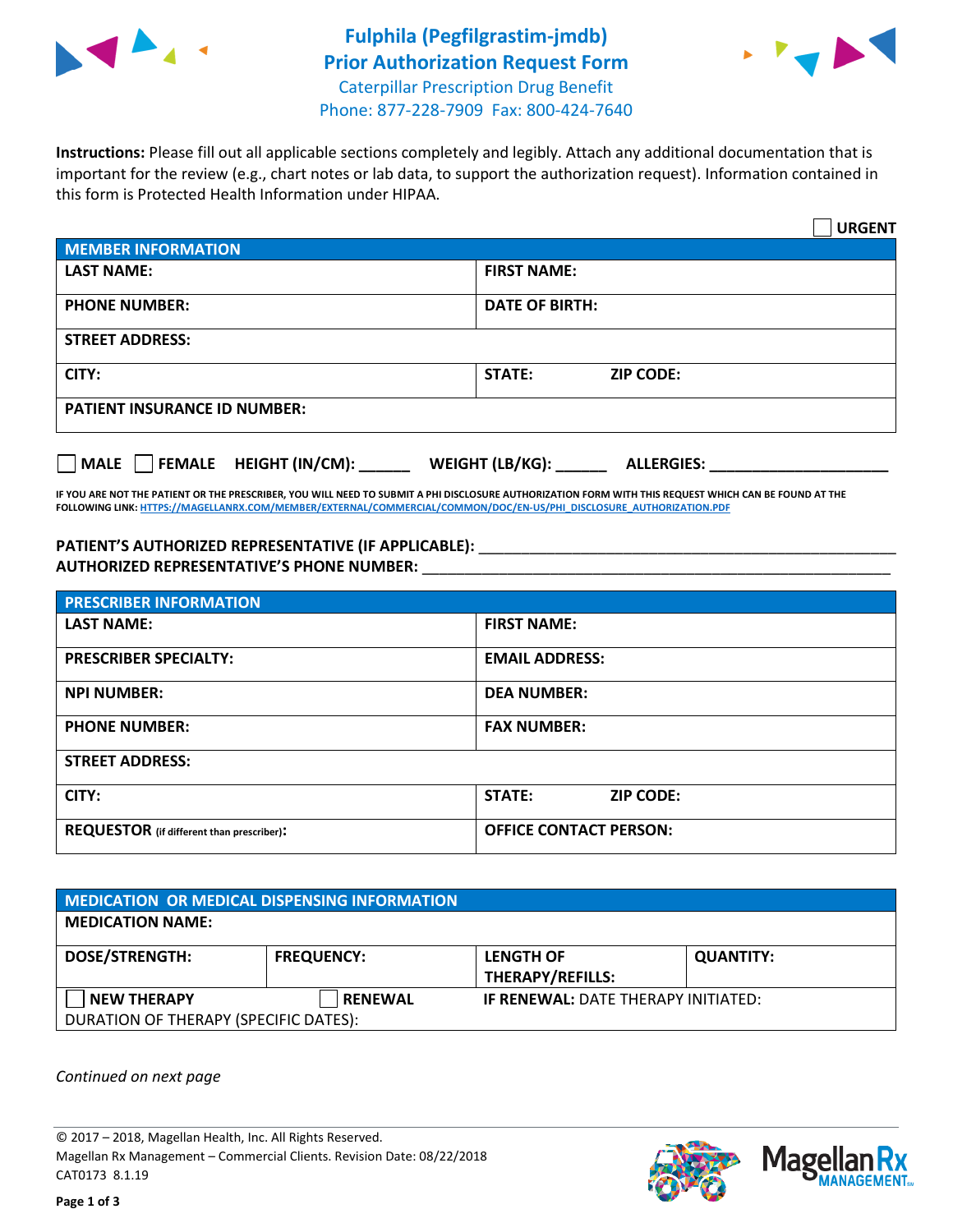



**Instructions:** Please fill out all applicable sections completely and legibly. Attach any additional documentation that is important for the review (e.g., chart notes or lab data, to support the authorization request). Information contained in this form is Protected Health Information under HIPAA.

|                                              | <b>URGENT</b>                        |  |  |  |
|----------------------------------------------|--------------------------------------|--|--|--|
| <b>MEMBER INFORMATION</b>                    |                                      |  |  |  |
| <b>LAST NAME:</b>                            | <b>FIRST NAME:</b>                   |  |  |  |
| <b>PHONE NUMBER:</b>                         | <b>DATE OF BIRTH:</b>                |  |  |  |
| <b>STREET ADDRESS:</b>                       |                                      |  |  |  |
| CITY:                                        | STATE:<br><b>ZIP CODE:</b>           |  |  |  |
| <b>PATIENT INSURANCE ID NUMBER:</b>          |                                      |  |  |  |
| $\Box$ FEMALE HEIGHT (IN/CM):<br><b>MALE</b> | WEIGHT (LB/KG):<br><b>ALLERGIES:</b> |  |  |  |

**IF YOU ARE NOT THE PATIENT OR THE PRESCRIBER, YOU WILL NEED TO SUBMIT A PHI DISCLOSURE AUTHORIZATION FORM WITH THIS REQUEST WHICH CAN BE FOUND AT THE FOLLOWING LINK[: HTTPS://MAGELLANRX.COM/MEMBER/EXTERNAL/COMMERCIAL/COMMON/DOC/EN-US/PHI\\_DISCLOSURE\\_AUTHORIZATION.PDF](https://magellanrx.com/member/external/commercial/common/doc/en-us/PHI_Disclosure_Authorization.pdf)**

PATIENT'S AUTHORIZED REPRESENTATIVE (IF APPLICABLE): \_\_\_\_\_\_\_\_\_\_\_\_\_\_\_\_\_\_\_\_\_\_\_\_\_\_\_ **AUTHORIZED REPRESENTATIVE'S PHONE NUMBER:** \_\_\_\_\_\_\_\_\_\_\_\_\_\_\_\_\_\_\_\_\_\_\_\_\_\_\_\_\_\_\_\_\_\_\_\_\_\_\_\_\_\_\_\_\_\_\_\_\_\_\_\_\_\_\_

| <b>PRESCRIBER INFORMATION</b>             |                               |  |  |  |
|-------------------------------------------|-------------------------------|--|--|--|
| <b>LAST NAME:</b>                         | <b>FIRST NAME:</b>            |  |  |  |
| <b>PRESCRIBER SPECIALTY:</b>              | <b>EMAIL ADDRESS:</b>         |  |  |  |
| <b>NPI NUMBER:</b>                        | <b>DEA NUMBER:</b>            |  |  |  |
| <b>PHONE NUMBER:</b>                      | <b>FAX NUMBER:</b>            |  |  |  |
| <b>STREET ADDRESS:</b>                    |                               |  |  |  |
| CITY:                                     | STATE:<br><b>ZIP CODE:</b>    |  |  |  |
| REQUESTOR (if different than prescriber): | <b>OFFICE CONTACT PERSON:</b> |  |  |  |

| <b>MEDICATION OR MEDICAL DISPENSING INFORMATION</b> |                   |                                            |                  |  |  |
|-----------------------------------------------------|-------------------|--------------------------------------------|------------------|--|--|
| <b>MEDICATION NAME:</b>                             |                   |                                            |                  |  |  |
| <b>DOSE/STRENGTH:</b>                               | <b>FREQUENCY:</b> | <b>LENGTH OF</b>                           | <b>QUANTITY:</b> |  |  |
|                                                     |                   | <b>THERAPY/REFILLS:</b>                    |                  |  |  |
| <b>NEW THERAPY</b>                                  | <b>RENEWAL</b>    | <b>IF RENEWAL: DATE THERAPY INITIATED:</b> |                  |  |  |
| DURATION OF THERAPY (SPECIFIC DATES):               |                   |                                            |                  |  |  |

*Continued on next page*

© 2017 – 2018, Magellan Health, Inc. All Rights Reserved. Magellan Rx Management – Commercial Clients. Revision Date: 08/22/2018 CAT0173 8.1.19



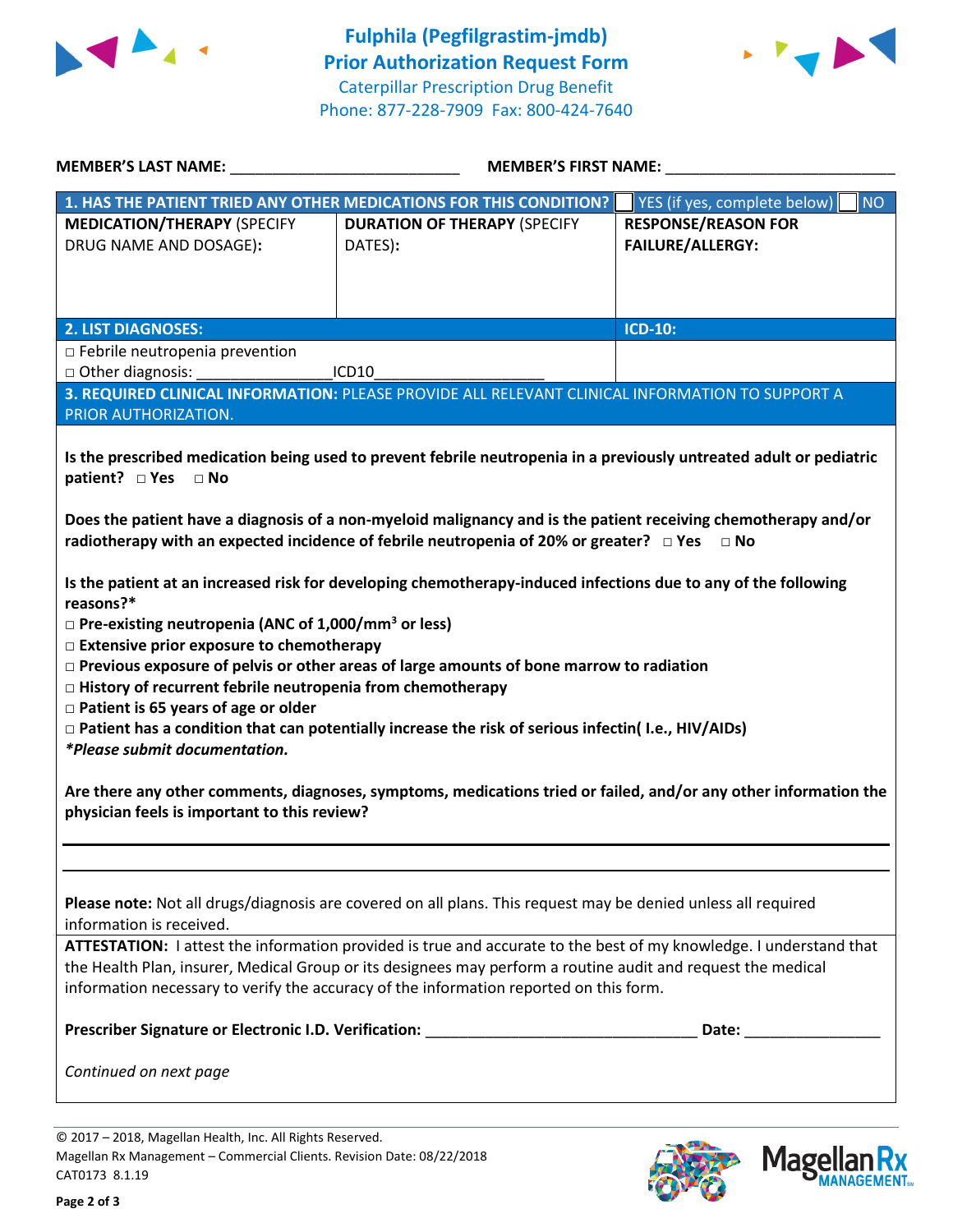



| <b>MEMBER'S LAST NAME:</b>                                                                                                                                                                                                                                                                                                                                                                                                                                                                                                                                                                                                                                                                                                                                                                                                                                                                                                                                                                                                                                                                                                                                    | <b>MEMBER'S FIRST NAME:</b>                                                                     |                                                       |  |  |  |
|---------------------------------------------------------------------------------------------------------------------------------------------------------------------------------------------------------------------------------------------------------------------------------------------------------------------------------------------------------------------------------------------------------------------------------------------------------------------------------------------------------------------------------------------------------------------------------------------------------------------------------------------------------------------------------------------------------------------------------------------------------------------------------------------------------------------------------------------------------------------------------------------------------------------------------------------------------------------------------------------------------------------------------------------------------------------------------------------------------------------------------------------------------------|-------------------------------------------------------------------------------------------------|-------------------------------------------------------|--|--|--|
| 1. HAS THE PATIENT TRIED ANY OTHER MEDICATIONS FOR THIS CONDITION?                                                                                                                                                                                                                                                                                                                                                                                                                                                                                                                                                                                                                                                                                                                                                                                                                                                                                                                                                                                                                                                                                            |                                                                                                 | YES (if yes, complete below)<br><b>NO</b>             |  |  |  |
| <b>MEDICATION/THERAPY (SPECIFY</b><br>DRUG NAME AND DOSAGE):                                                                                                                                                                                                                                                                                                                                                                                                                                                                                                                                                                                                                                                                                                                                                                                                                                                                                                                                                                                                                                                                                                  | <b>DURATION OF THERAPY (SPECIFY</b><br>DATES):                                                  | <b>RESPONSE/REASON FOR</b><br><b>FAILURE/ALLERGY:</b> |  |  |  |
| <b>2. LIST DIAGNOSES:</b>                                                                                                                                                                                                                                                                                                                                                                                                                                                                                                                                                                                                                                                                                                                                                                                                                                                                                                                                                                                                                                                                                                                                     |                                                                                                 | <b>ICD-10:</b>                                        |  |  |  |
| $\Box$ Febrile neutropenia prevention<br>□ Other diagnosis:<br>ICD10                                                                                                                                                                                                                                                                                                                                                                                                                                                                                                                                                                                                                                                                                                                                                                                                                                                                                                                                                                                                                                                                                          |                                                                                                 |                                                       |  |  |  |
| PRIOR AUTHORIZATION.                                                                                                                                                                                                                                                                                                                                                                                                                                                                                                                                                                                                                                                                                                                                                                                                                                                                                                                                                                                                                                                                                                                                          | 3. REQUIRED CLINICAL INFORMATION: PLEASE PROVIDE ALL RELEVANT CLINICAL INFORMATION TO SUPPORT A |                                                       |  |  |  |
| Is the prescribed medication being used to prevent febrile neutropenia in a previously untreated adult or pediatric<br>patient? DYes DNo<br>Does the patient have a diagnosis of a non-myeloid malignancy and is the patient receiving chemotherapy and/or<br>radiotherapy with an expected incidence of febrile neutropenia of 20% or greater? $\Box$ Yes $\Box$ No<br>Is the patient at an increased risk for developing chemotherapy-induced infections due to any of the following<br>reasons?*<br>$\Box$ Pre-existing neutropenia (ANC of 1,000/mm <sup>3</sup> or less)<br>□ Extensive prior exposure to chemotherapy<br>$\Box$ Previous exposure of pelvis or other areas of large amounts of bone marrow to radiation<br>$\Box$ History of recurrent febrile neutropenia from chemotherapy<br>$\Box$ Patient is 65 years of age or older<br>□ Patient has a condition that can potentially increase the risk of serious infectin(I.e., HIV/AIDs)<br>*Please submit documentation.<br>Are there any other comments, diagnoses, symptoms, medications tried or failed, and/or any other information the<br>physician feels is important to this review? |                                                                                                 |                                                       |  |  |  |
| Please note: Not all drugs/diagnosis are covered on all plans. This request may be denied unless all required<br>information is received.<br>ATTESTATION: I attest the information provided is true and accurate to the best of my knowledge. I understand that<br>the Health Plan, insurer, Medical Group or its designees may perform a routine audit and request the medical                                                                                                                                                                                                                                                                                                                                                                                                                                                                                                                                                                                                                                                                                                                                                                               |                                                                                                 |                                                       |  |  |  |
| information necessary to verify the accuracy of the information reported on this form.                                                                                                                                                                                                                                                                                                                                                                                                                                                                                                                                                                                                                                                                                                                                                                                                                                                                                                                                                                                                                                                                        |                                                                                                 |                                                       |  |  |  |
|                                                                                                                                                                                                                                                                                                                                                                                                                                                                                                                                                                                                                                                                                                                                                                                                                                                                                                                                                                                                                                                                                                                                                               |                                                                                                 |                                                       |  |  |  |
| Continued on next page                                                                                                                                                                                                                                                                                                                                                                                                                                                                                                                                                                                                                                                                                                                                                                                                                                                                                                                                                                                                                                                                                                                                        |                                                                                                 |                                                       |  |  |  |
|                                                                                                                                                                                                                                                                                                                                                                                                                                                                                                                                                                                                                                                                                                                                                                                                                                                                                                                                                                                                                                                                                                                                                               |                                                                                                 |                                                       |  |  |  |

© 2017 – 2018, Magellan Health, Inc. All Rights Reserved. Magellan Rx Management – Commercial Clients. Revision Date: 08/22/2018 CAT0173 8.1.19



**Magella** 

**JANAGEMENT**<sub>SM</sub>